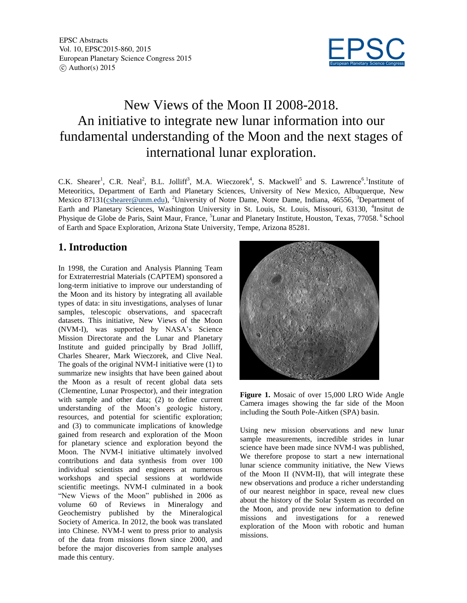

# New Views of the Moon II 2008-2018. An initiative to integrate new lunar information into our fundamental understanding of the Moon and the next stages of international lunar exploration.

C.K. Shearer<sup>1</sup>, C.R. Neal<sup>2</sup>, B.L. Jolliff<sup>3</sup>, M.A. Wieczorek<sup>4</sup>, S. Mackwell<sup>5</sup> and S. Lawrence<sup>6</sup>.<sup>1</sup>Institute of Meteoritics, Department of Earth and Planetary Sciences, University of New Mexico, Albuquerque, New Mexico 87131(cshearer@unm.edu), <sup>2</sup>University of Notre Dame, Notre Dame, Indiana, 46556, <sup>3</sup>Department of Earth and Planetary Sciences, Washington University in St. Louis, St. Louis, Missouri, 63130, <sup>4</sup>Insitut de Physique de Globe de Paris, Saint Maur, France, <sup>5</sup>Lunar and Planetary Institute, Houston, Texas, 77058. <sup>6</sup> School of Earth and Space Exploration, Arizona State University, Tempe, Arizona 85281.

#### **1. Introduction**

In 1998, the Curation and Analysis Planning Team for Extraterrestrial Materials (CAPTEM) sponsored a long-term initiative to improve our understanding of the Moon and its history by integrating all available types of data: in situ investigations, analyses of lunar samples, telescopic observations, and spacecraft datasets. This initiative, New Views of the Moon (NVM-I)*,* was supported by NASA's Science Mission Directorate and the Lunar and Planetary Institute and guided principally by Brad Jolliff, Charles Shearer, Mark Wieczorek, and Clive Neal. The goals of the original NVM-I initiative were (1) to summarize new insights that have been gained about the Moon as a result of recent global data sets (Clementine, Lunar Prospector), and their integration with sample and other data; (2) to define current understanding of the Moon's geologic history, resources, and potential for scientific exploration; and (3) to communicate implications of knowledge gained from research and exploration of the Moon for planetary science and exploration beyond the Moon. The NVM-I initiative ultimately involved contributions and data synthesis from over 100 individual scientists and engineers at numerous workshops and special sessions at worldwide scientific meetings. NVM-I culminated in a book "New Views of the Moon" published in 2006 as volume 60 of Reviews in Mineralogy and Geochemistry published by the Mineralogical Society of America. In 2012, the book was translated into Chinese. NVM-I went to press prior to analysis of the data from missions flown since 2000, and before the major discoveries from sample analyses made this century.



**Figure 1.** Mosaic of over 15,000 LRO Wide Angle Camera images showing the far side of the Moon including the South Pole-Aitken (SPA) basin.

Using new mission observations and new lunar sample measurements, incredible strides in lunar science have been made since NVM-I was published, We therefore propose to start a new international lunar science community initiative, the New Views of the Moon II (NVM-II), that will integrate these new observations and produce a richer understanding of our nearest neighbor in space, reveal new clues about the history of the Solar System as recorded on the Moon, and provide new information to define missions and investigations for a renewed exploration of the Moon with robotic and human missions.